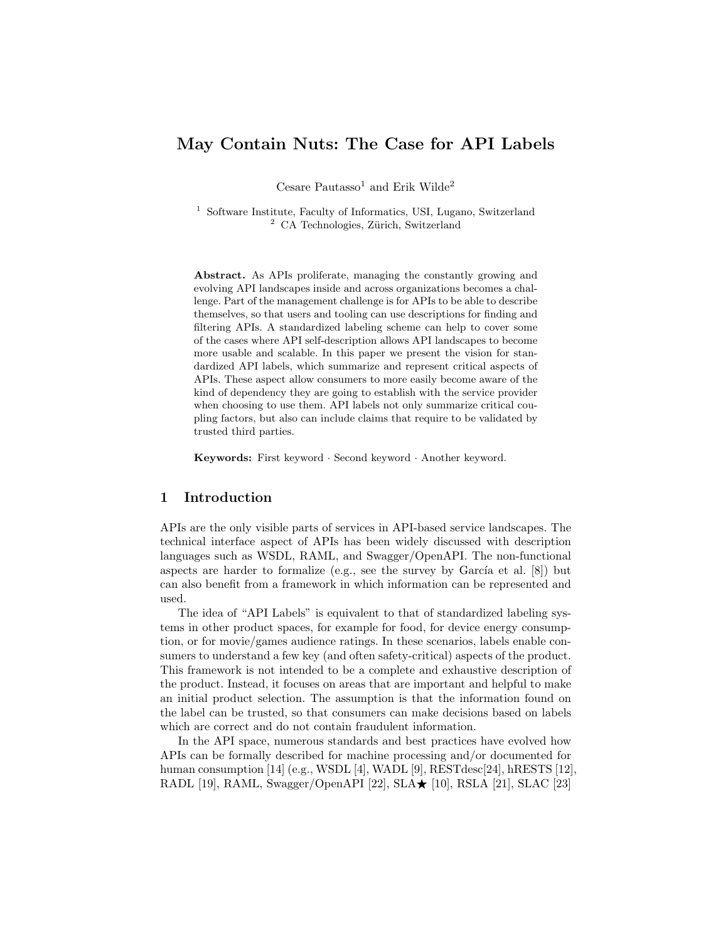# May Contain Nuts: The Case for API Labels

Cesare Pautasso<sup>1</sup> and Erik Wilde<sup>2</sup>

<sup>1</sup> Software Institute, Faculty of Informatics, USI, Lugano, Switzerland  $2$  CA Technologies, Zürich, Switzerland

Abstract. As APIs proliferate, managing the constantly growing and evolving API landscapes inside and across organizations becomes a challenge. Part of the management challenge is for APIs to be able to describe themselves, so that users and tooling can use descriptions for finding and filtering APIs. A standardized labeling scheme can help to cover some of the cases where API self-description allows API landscapes to become more usable and scalable. In this paper we present the vision for standardized API labels, which summarize and represent critical aspects of APIs. These aspect allow consumers to more easily become aware of the kind of dependency they are going to establish with the service provider when choosing to use them. API labels not only summarize critical coupling factors, but also can include claims that require to be validated by trusted third parties.

Keywords: First keyword · Second keyword · Another keyword.

## 1 Introduction

APIs are the only visible parts of services in API-based service landscapes. The technical interface aspect of APIs has been widely discussed with description languages such as WSDL, RAML, and Swagger/OpenAPI. The non-functional aspects are harder to formalize (e.g., see the survey by García et al.  $[8]$ ) but can also benefit from a framework in which information can be represented and used.

The idea of "API Labels" is equivalent to that of standardized labeling systems in other product spaces, for example for food, for device energy consumption, or for movie/games audience ratings. In these scenarios, labels enable consumers to understand a few key (and often safety-critical) aspects of the product. This framework is not intended to be a complete and exhaustive description of the product. Instead, it focuses on areas that are important and helpful to make an initial product selection. The assumption is that the information found on the label can be trusted, so that consumers can make decisions based on labels which are correct and do not contain fraudulent information.

In the API space, numerous standards and best practices have evolved how APIs can be formally described for machine processing and/or documented for human consumption [14] (e.g., WSDL [4], WADL [9], RESTdesc[24], hRESTS [12], RADL [19], RAML, Swagger/OpenAPI [22], SLA★ [10], RSLA [21], SLAC [23]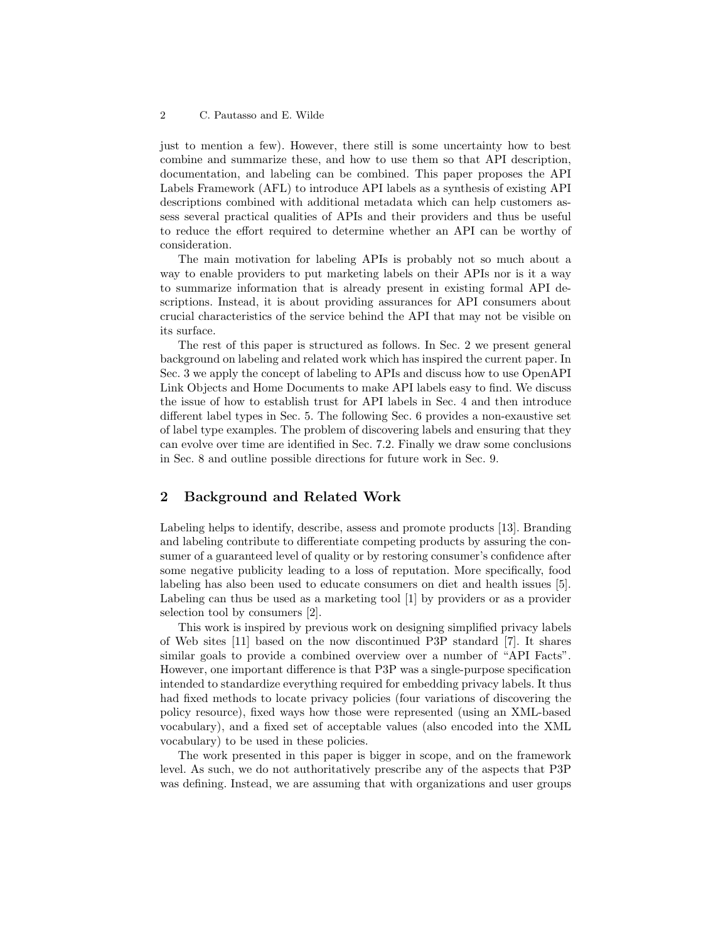just to mention a few). However, there still is some uncertainty how to best combine and summarize these, and how to use them so that API description, documentation, and labeling can be combined. This paper proposes the API Labels Framework (AFL) to introduce API labels as a synthesis of existing API descriptions combined with additional metadata which can help customers assess several practical qualities of APIs and their providers and thus be useful to reduce the effort required to determine whether an API can be worthy of consideration.

The main motivation for labeling APIs is probably not so much about a way to enable providers to put marketing labels on their APIs nor is it a way to summarize information that is already present in existing formal API descriptions. Instead, it is about providing assurances for API consumers about crucial characteristics of the service behind the API that may not be visible on its surface.

The rest of this paper is structured as follows. In Sec. 2 we present general background on labeling and related work which has inspired the current paper. In Sec. 3 we apply the concept of labeling to APIs and discuss how to use OpenAPI Link Objects and Home Documents to make API labels easy to find. We discuss the issue of how to establish trust for API labels in Sec. 4 and then introduce different label types in Sec. 5. The following Sec. 6 provides a non-exaustive set of label type examples. The problem of discovering labels and ensuring that they can evolve over time are identified in Sec. 7.2. Finally we draw some conclusions in Sec. 8 and outline possible directions for future work in Sec. 9.

## 2 Background and Related Work

Labeling helps to identify, describe, assess and promote products [13]. Branding and labeling contribute to differentiate competing products by assuring the consumer of a guaranteed level of quality or by restoring consumer's confidence after some negative publicity leading to a loss of reputation. More specifically, food labeling has also been used to educate consumers on diet and health issues [5]. Labeling can thus be used as a marketing tool [1] by providers or as a provider selection tool by consumers [2].

This work is inspired by previous work on designing simplified privacy labels of Web sites [11] based on the now discontinued P3P standard [7]. It shares similar goals to provide a combined overview over a number of "API Facts". However, one important difference is that P3P was a single-purpose specification intended to standardize everything required for embedding privacy labels. It thus had fixed methods to locate privacy policies (four variations of discovering the policy resource), fixed ways how those were represented (using an XML-based vocabulary), and a fixed set of acceptable values (also encoded into the XML vocabulary) to be used in these policies.

The work presented in this paper is bigger in scope, and on the framework level. As such, we do not authoritatively prescribe any of the aspects that P3P was defining. Instead, we are assuming that with organizations and user groups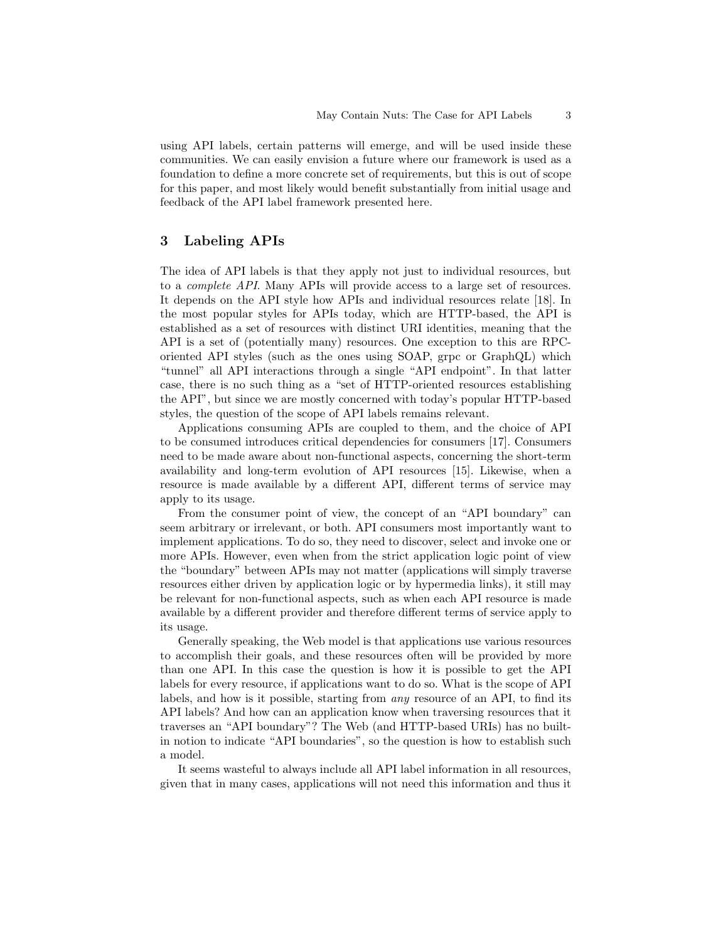using API labels, certain patterns will emerge, and will be used inside these communities. We can easily envision a future where our framework is used as a foundation to define a more concrete set of requirements, but this is out of scope for this paper, and most likely would benefit substantially from initial usage and feedback of the API label framework presented here.

## 3 Labeling APIs

The idea of API labels is that they apply not just to individual resources, but to a complete API. Many APIs will provide access to a large set of resources. It depends on the API style how APIs and individual resources relate [18]. In the most popular styles for APIs today, which are HTTP-based, the API is established as a set of resources with distinct URI identities, meaning that the API is a set of (potentially many) resources. One exception to this are RPCoriented API styles (such as the ones using SOAP, grpc or GraphQL) which "tunnel" all API interactions through a single "API endpoint". In that latter case, there is no such thing as a "set of HTTP-oriented resources establishing the API", but since we are mostly concerned with today's popular HTTP-based styles, the question of the scope of API labels remains relevant.

Applications consuming APIs are coupled to them, and the choice of API to be consumed introduces critical dependencies for consumers [17]. Consumers need to be made aware about non-functional aspects, concerning the short-term availability and long-term evolution of API resources [15]. Likewise, when a resource is made available by a different API, different terms of service may apply to its usage.

From the consumer point of view, the concept of an "API boundary" can seem arbitrary or irrelevant, or both. API consumers most importantly want to implement applications. To do so, they need to discover, select and invoke one or more APIs. However, even when from the strict application logic point of view the "boundary" between APIs may not matter (applications will simply traverse resources either driven by application logic or by hypermedia links), it still may be relevant for non-functional aspects, such as when each API resource is made available by a different provider and therefore different terms of service apply to its usage.

Generally speaking, the Web model is that applications use various resources to accomplish their goals, and these resources often will be provided by more than one API. In this case the question is how it is possible to get the API labels for every resource, if applications want to do so. What is the scope of API labels, and how is it possible, starting from any resource of an API, to find its API labels? And how can an application know when traversing resources that it traverses an "API boundary"? The Web (and HTTP-based URIs) has no builtin notion to indicate "API boundaries", so the question is how to establish such a model.

It seems wasteful to always include all API label information in all resources, given that in many cases, applications will not need this information and thus it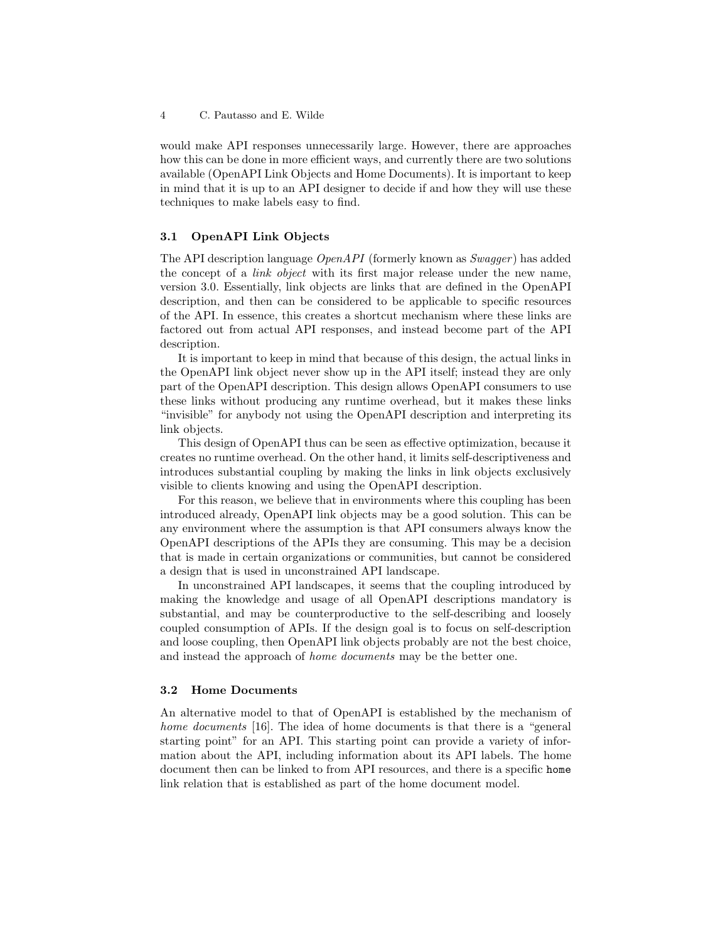would make API responses unnecessarily large. However, there are approaches how this can be done in more efficient ways, and currently there are two solutions available (OpenAPI Link Objects and Home Documents). It is important to keep in mind that it is up to an API designer to decide if and how they will use these techniques to make labels easy to find.

### 3.1 OpenAPI Link Objects

The API description language  $OpenAPI$  (formerly known as  $Swagger$ ) has added the concept of a link object with its first major release under the new name, version 3.0. Essentially, link objects are links that are defined in the OpenAPI description, and then can be considered to be applicable to specific resources of the API. In essence, this creates a shortcut mechanism where these links are factored out from actual API responses, and instead become part of the API description.

It is important to keep in mind that because of this design, the actual links in the OpenAPI link object never show up in the API itself; instead they are only part of the OpenAPI description. This design allows OpenAPI consumers to use these links without producing any runtime overhead, but it makes these links "invisible" for anybody not using the OpenAPI description and interpreting its link objects.

This design of OpenAPI thus can be seen as effective optimization, because it creates no runtime overhead. On the other hand, it limits self-descriptiveness and introduces substantial coupling by making the links in link objects exclusively visible to clients knowing and using the OpenAPI description.

For this reason, we believe that in environments where this coupling has been introduced already, OpenAPI link objects may be a good solution. This can be any environment where the assumption is that API consumers always know the OpenAPI descriptions of the APIs they are consuming. This may be a decision that is made in certain organizations or communities, but cannot be considered a design that is used in unconstrained API landscape.

In unconstrained API landscapes, it seems that the coupling introduced by making the knowledge and usage of all OpenAPI descriptions mandatory is substantial, and may be counterproductive to the self-describing and loosely coupled consumption of APIs. If the design goal is to focus on self-description and loose coupling, then OpenAPI link objects probably are not the best choice, and instead the approach of home documents may be the better one.

#### 3.2 Home Documents

An alternative model to that of OpenAPI is established by the mechanism of home documents [16]. The idea of home documents is that there is a "general" starting point" for an API. This starting point can provide a variety of information about the API, including information about its API labels. The home document then can be linked to from API resources, and there is a specific home link relation that is established as part of the home document model.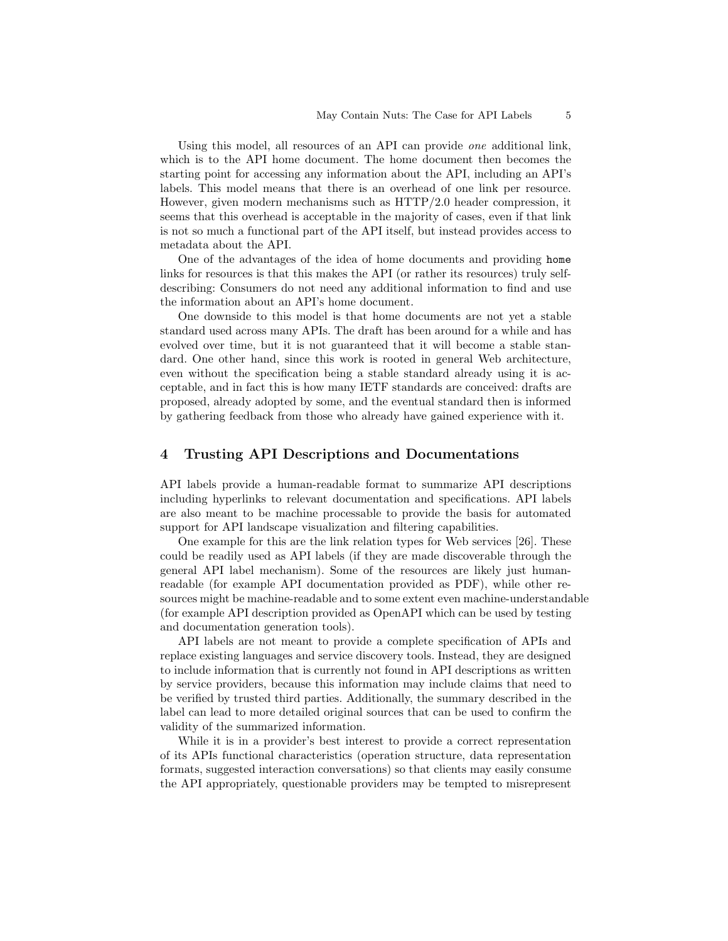Using this model, all resources of an API can provide one additional link, which is to the API home document. The home document then becomes the starting point for accessing any information about the API, including an API's labels. This model means that there is an overhead of one link per resource. However, given modern mechanisms such as HTTP/2.0 header compression, it seems that this overhead is acceptable in the majority of cases, even if that link is not so much a functional part of the API itself, but instead provides access to metadata about the API.

One of the advantages of the idea of home documents and providing home links for resources is that this makes the API (or rather its resources) truly selfdescribing: Consumers do not need any additional information to find and use the information about an API's home document.

One downside to this model is that home documents are not yet a stable standard used across many APIs. The draft has been around for a while and has evolved over time, but it is not guaranteed that it will become a stable standard. One other hand, since this work is rooted in general Web architecture, even without the specification being a stable standard already using it is acceptable, and in fact this is how many IETF standards are conceived: drafts are proposed, already adopted by some, and the eventual standard then is informed by gathering feedback from those who already have gained experience with it.

### 4 Trusting API Descriptions and Documentations

API labels provide a human-readable format to summarize API descriptions including hyperlinks to relevant documentation and specifications. API labels are also meant to be machine processable to provide the basis for automated support for API landscape visualization and filtering capabilities.

One example for this are the link relation types for Web services [26]. These could be readily used as API labels (if they are made discoverable through the general API label mechanism). Some of the resources are likely just humanreadable (for example API documentation provided as PDF), while other resources might be machine-readable and to some extent even machine-understandable (for example API description provided as OpenAPI which can be used by testing and documentation generation tools).

API labels are not meant to provide a complete specification of APIs and replace existing languages and service discovery tools. Instead, they are designed to include information that is currently not found in API descriptions as written by service providers, because this information may include claims that need to be verified by trusted third parties. Additionally, the summary described in the label can lead to more detailed original sources that can be used to confirm the validity of the summarized information.

While it is in a provider's best interest to provide a correct representation of its APIs functional characteristics (operation structure, data representation formats, suggested interaction conversations) so that clients may easily consume the API appropriately, questionable providers may be tempted to misrepresent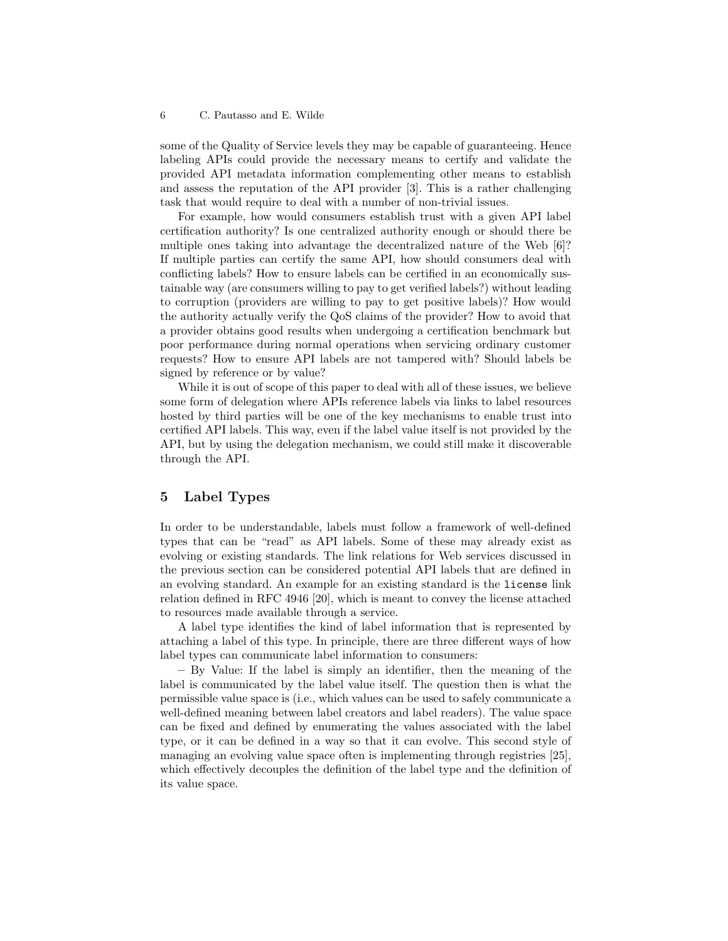#### 6 C. Pautasso and E. Wilde

some of the Quality of Service levels they may be capable of guaranteeing. Hence labeling APIs could provide the necessary means to certify and validate the provided API metadata information complementing other means to establish and assess the reputation of the API provider [3]. This is a rather challenging task that would require to deal with a number of non-trivial issues.

For example, how would consumers establish trust with a given API label certification authority? Is one centralized authority enough or should there be multiple ones taking into advantage the decentralized nature of the Web [6]? If multiple parties can certify the same API, how should consumers deal with conflicting labels? How to ensure labels can be certified in an economically sustainable way (are consumers willing to pay to get verified labels?) without leading to corruption (providers are willing to pay to get positive labels)? How would the authority actually verify the QoS claims of the provider? How to avoid that a provider obtains good results when undergoing a certification benchmark but poor performance during normal operations when servicing ordinary customer requests? How to ensure API labels are not tampered with? Should labels be signed by reference or by value?

While it is out of scope of this paper to deal with all of these issues, we believe some form of delegation where APIs reference labels via links to label resources hosted by third parties will be one of the key mechanisms to enable trust into certified API labels. This way, even if the label value itself is not provided by the API, but by using the delegation mechanism, we could still make it discoverable through the API.

## 5 Label Types

In order to be understandable, labels must follow a framework of well-defined types that can be "read" as API labels. Some of these may already exist as evolving or existing standards. The link relations for Web services discussed in the previous section can be considered potential API labels that are defined in an evolving standard. An example for an existing standard is the license link relation defined in RFC 4946 [20], which is meant to convey the license attached to resources made available through a service.

A label type identifies the kind of label information that is represented by attaching a label of this type. In principle, there are three different ways of how label types can communicate label information to consumers:

– By Value: If the label is simply an identifier, then the meaning of the label is communicated by the label value itself. The question then is what the permissible value space is (i.e., which values can be used to safely communicate a well-defined meaning between label creators and label readers). The value space can be fixed and defined by enumerating the values associated with the label type, or it can be defined in a way so that it can evolve. This second style of managing an evolving value space often is implementing through registries [25], which effectively decouples the definition of the label type and the definition of its value space.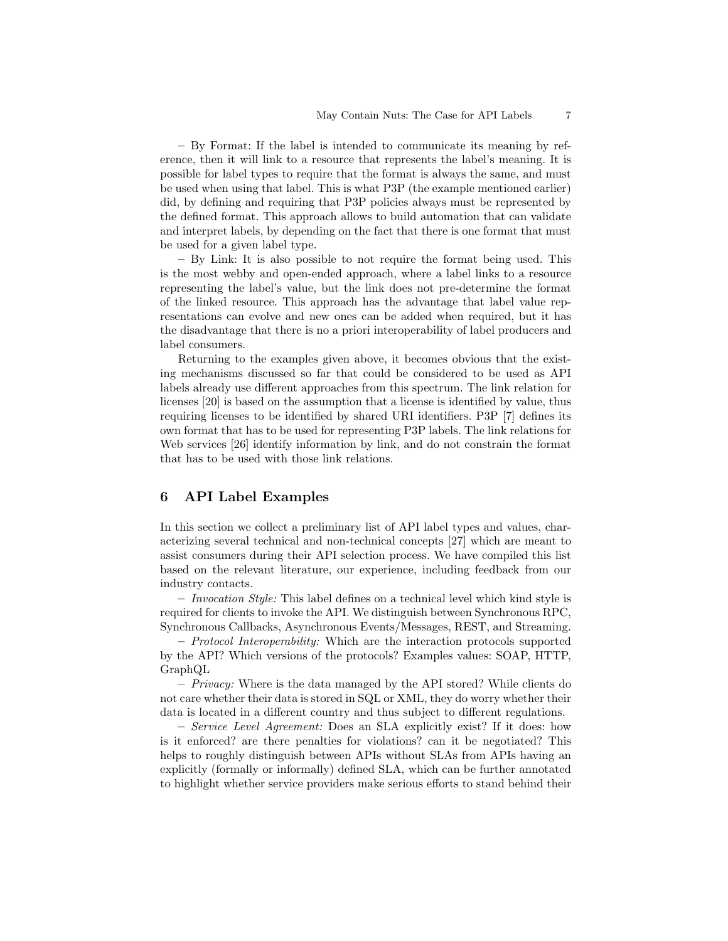– By Format: If the label is intended to communicate its meaning by reference, then it will link to a resource that represents the label's meaning. It is possible for label types to require that the format is always the same, and must be used when using that label. This is what P3P (the example mentioned earlier) did, by defining and requiring that P3P policies always must be represented by the defined format. This approach allows to build automation that can validate and interpret labels, by depending on the fact that there is one format that must be used for a given label type.

– By Link: It is also possible to not require the format being used. This is the most webby and open-ended approach, where a label links to a resource representing the label's value, but the link does not pre-determine the format of the linked resource. This approach has the advantage that label value representations can evolve and new ones can be added when required, but it has the disadvantage that there is no a priori interoperability of label producers and label consumers.

Returning to the examples given above, it becomes obvious that the existing mechanisms discussed so far that could be considered to be used as API labels already use different approaches from this spectrum. The link relation for licenses [20] is based on the assumption that a license is identified by value, thus requiring licenses to be identified by shared URI identifiers. P3P [7] defines its own format that has to be used for representing P3P labels. The link relations for Web services [26] identify information by link, and do not constrain the format that has to be used with those link relations.

## 6 API Label Examples

In this section we collect a preliminary list of API label types and values, characterizing several technical and non-technical concepts [27] which are meant to assist consumers during their API selection process. We have compiled this list based on the relevant literature, our experience, including feedback from our industry contacts.

– Invocation Style: This label defines on a technical level which kind style is required for clients to invoke the API. We distinguish between Synchronous RPC, Synchronous Callbacks, Asynchronous Events/Messages, REST, and Streaming.

– Protocol Interoperability: Which are the interaction protocols supported by the API? Which versions of the protocols? Examples values: SOAP, HTTP, GraphQL

 $-$  Privacy: Where is the data managed by the API stored? While clients do not care whether their data is stored in SQL or XML, they do worry whether their data is located in a different country and thus subject to different regulations.

– Service Level Agreement: Does an SLA explicitly exist? If it does: how is it enforced? are there penalties for violations? can it be negotiated? This helps to roughly distinguish between APIs without SLAs from APIs having an explicitly (formally or informally) defined SLA, which can be further annotated to highlight whether service providers make serious efforts to stand behind their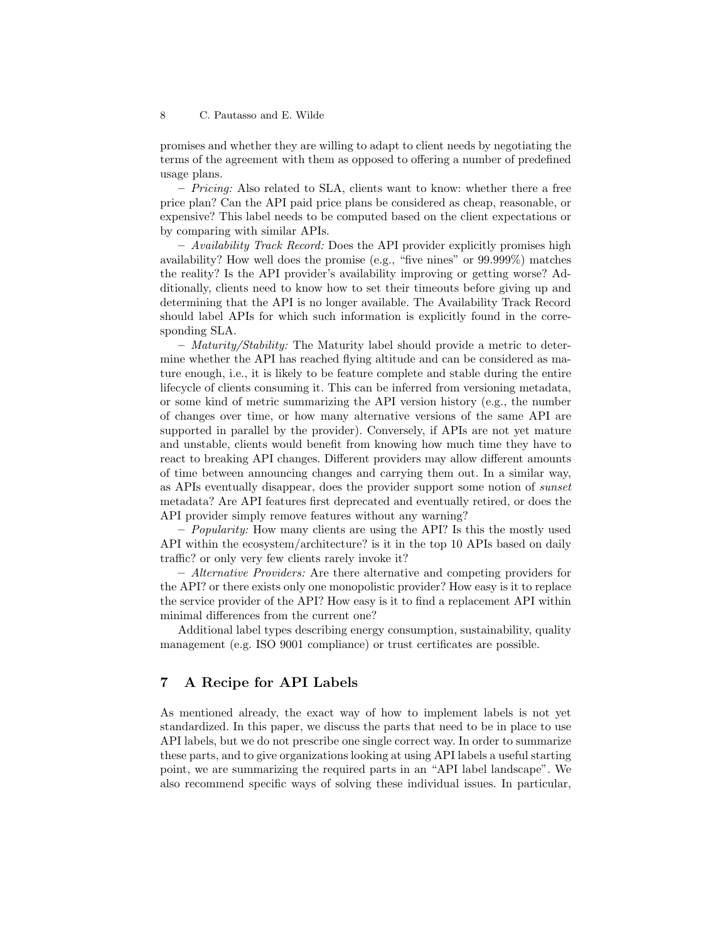#### 8 C. Pautasso and E. Wilde

promises and whether they are willing to adapt to client needs by negotiating the terms of the agreement with them as opposed to offering a number of predefined usage plans.

– Pricing: Also related to SLA, clients want to know: whether there a free price plan? Can the API paid price plans be considered as cheap, reasonable, or expensive? This label needs to be computed based on the client expectations or by comparing with similar APIs.

 $-$  Availability Track Record: Does the API provider explicitly promises high availability? How well does the promise (e.g., "five nines" or 99.999%) matches the reality? Is the API provider's availability improving or getting worse? Additionally, clients need to know how to set their timeouts before giving up and determining that the API is no longer available. The Availability Track Record should label APIs for which such information is explicitly found in the corresponding SLA.

– Maturity/Stability: The Maturity label should provide a metric to determine whether the API has reached flying altitude and can be considered as mature enough, i.e., it is likely to be feature complete and stable during the entire lifecycle of clients consuming it. This can be inferred from versioning metadata, or some kind of metric summarizing the API version history (e.g., the number of changes over time, or how many alternative versions of the same API are supported in parallel by the provider). Conversely, if APIs are not yet mature and unstable, clients would benefit from knowing how much time they have to react to breaking API changes. Different providers may allow different amounts of time between announcing changes and carrying them out. In a similar way, as APIs eventually disappear, does the provider support some notion of sunset metadata? Are API features first deprecated and eventually retired, or does the API provider simply remove features without any warning?

– Popularity: How many clients are using the API? Is this the mostly used API within the ecosystem/architecture? is it in the top 10 APIs based on daily traffic? or only very few clients rarely invoke it?

– Alternative Providers: Are there alternative and competing providers for the API? or there exists only one monopolistic provider? How easy is it to replace the service provider of the API? How easy is it to find a replacement API within minimal differences from the current one?

Additional label types describing energy consumption, sustainability, quality management (e.g. ISO 9001 compliance) or trust certificates are possible.

## 7 A Recipe for API Labels

As mentioned already, the exact way of how to implement labels is not yet standardized. In this paper, we discuss the parts that need to be in place to use API labels, but we do not prescribe one single correct way. In order to summarize these parts, and to give organizations looking at using API labels a useful starting point, we are summarizing the required parts in an "API label landscape". We also recommend specific ways of solving these individual issues. In particular,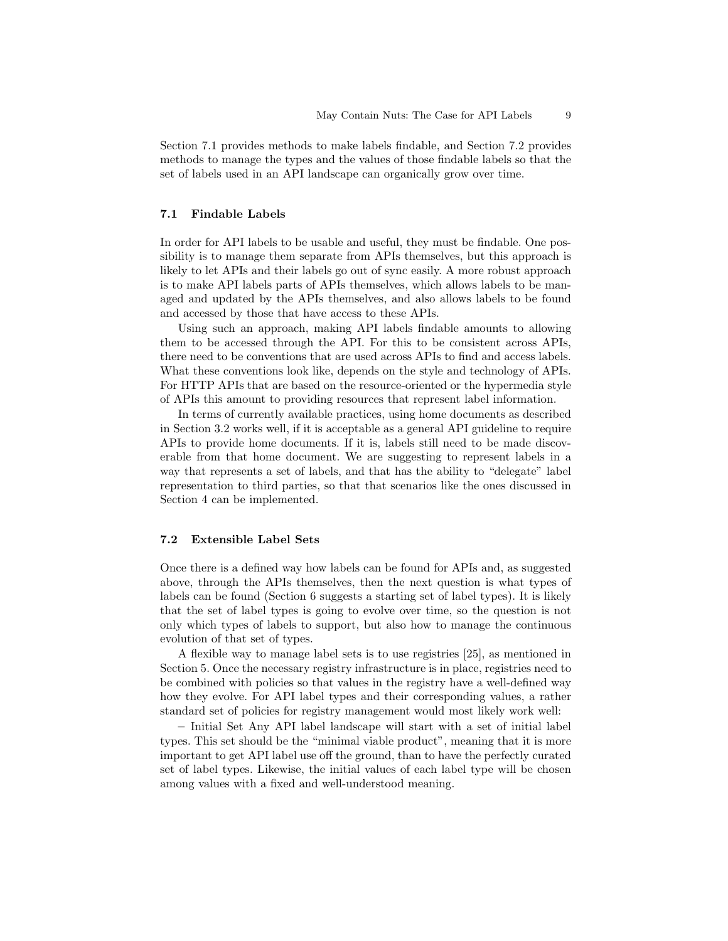Section 7.1 provides methods to make labels findable, and Section 7.2 provides methods to manage the types and the values of those findable labels so that the set of labels used in an API landscape can organically grow over time.

### 7.1 Findable Labels

In order for API labels to be usable and useful, they must be findable. One possibility is to manage them separate from APIs themselves, but this approach is likely to let APIs and their labels go out of sync easily. A more robust approach is to make API labels parts of APIs themselves, which allows labels to be managed and updated by the APIs themselves, and also allows labels to be found and accessed by those that have access to these APIs.

Using such an approach, making API labels findable amounts to allowing them to be accessed through the API. For this to be consistent across APIs, there need to be conventions that are used across APIs to find and access labels. What these conventions look like, depends on the style and technology of APIs. For HTTP APIs that are based on the resource-oriented or the hypermedia style of APIs this amount to providing resources that represent label information.

In terms of currently available practices, using home documents as described in Section 3.2 works well, if it is acceptable as a general API guideline to require APIs to provide home documents. If it is, labels still need to be made discoverable from that home document. We are suggesting to represent labels in a way that represents a set of labels, and that has the ability to "delegate" label representation to third parties, so that that scenarios like the ones discussed in Section 4 can be implemented.

#### 7.2 Extensible Label Sets

Once there is a defined way how labels can be found for APIs and, as suggested above, through the APIs themselves, then the next question is what types of labels can be found (Section 6 suggests a starting set of label types). It is likely that the set of label types is going to evolve over time, so the question is not only which types of labels to support, but also how to manage the continuous evolution of that set of types.

A flexible way to manage label sets is to use registries [25], as mentioned in Section 5. Once the necessary registry infrastructure is in place, registries need to be combined with policies so that values in the registry have a well-defined way how they evolve. For API label types and their corresponding values, a rather standard set of policies for registry management would most likely work well:

– Initial Set Any API label landscape will start with a set of initial label types. This set should be the "minimal viable product", meaning that it is more important to get API label use off the ground, than to have the perfectly curated set of label types. Likewise, the initial values of each label type will be chosen among values with a fixed and well-understood meaning.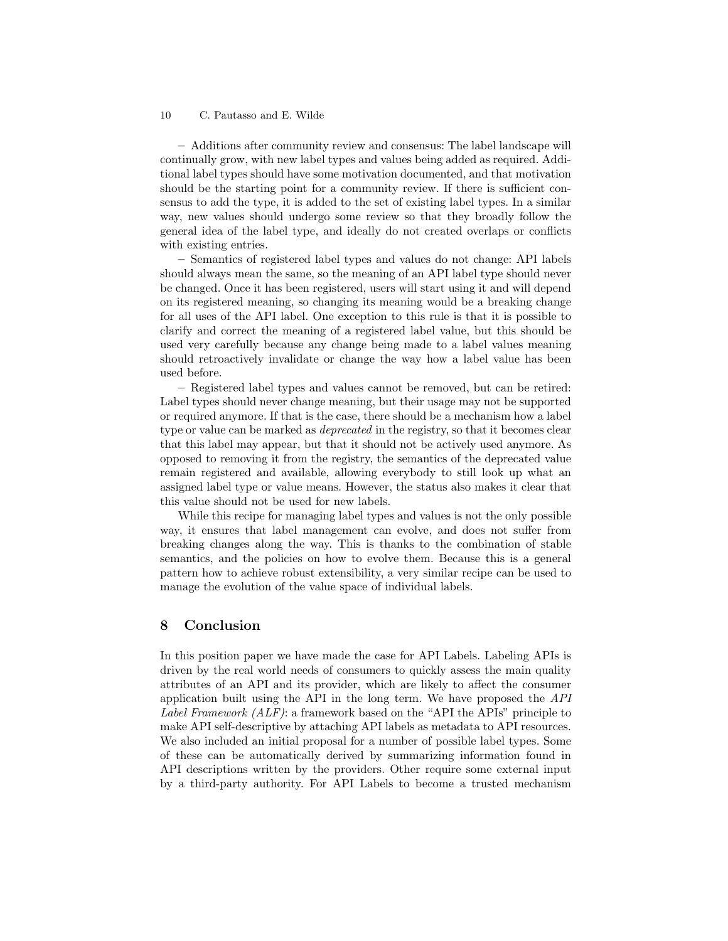#### 10 C. Pautasso and E. Wilde

– Additions after community review and consensus: The label landscape will continually grow, with new label types and values being added as required. Additional label types should have some motivation documented, and that motivation should be the starting point for a community review. If there is sufficient consensus to add the type, it is added to the set of existing label types. In a similar way, new values should undergo some review so that they broadly follow the general idea of the label type, and ideally do not created overlaps or conflicts with existing entries.

– Semantics of registered label types and values do not change: API labels should always mean the same, so the meaning of an API label type should never be changed. Once it has been registered, users will start using it and will depend on its registered meaning, so changing its meaning would be a breaking change for all uses of the API label. One exception to this rule is that it is possible to clarify and correct the meaning of a registered label value, but this should be used very carefully because any change being made to a label values meaning should retroactively invalidate or change the way how a label value has been used before.

– Registered label types and values cannot be removed, but can be retired: Label types should never change meaning, but their usage may not be supported or required anymore. If that is the case, there should be a mechanism how a label type or value can be marked as deprecated in the registry, so that it becomes clear that this label may appear, but that it should not be actively used anymore. As opposed to removing it from the registry, the semantics of the deprecated value remain registered and available, allowing everybody to still look up what an assigned label type or value means. However, the status also makes it clear that this value should not be used for new labels.

While this recipe for managing label types and values is not the only possible way, it ensures that label management can evolve, and does not suffer from breaking changes along the way. This is thanks to the combination of stable semantics, and the policies on how to evolve them. Because this is a general pattern how to achieve robust extensibility, a very similar recipe can be used to manage the evolution of the value space of individual labels.

## 8 Conclusion

In this position paper we have made the case for API Labels. Labeling APIs is driven by the real world needs of consumers to quickly assess the main quality attributes of an API and its provider, which are likely to affect the consumer application built using the API in the long term. We have proposed the API Label Framework (ALF): a framework based on the "API the APIs" principle to make API self-descriptive by attaching API labels as metadata to API resources. We also included an initial proposal for a number of possible label types. Some of these can be automatically derived by summarizing information found in API descriptions written by the providers. Other require some external input by a third-party authority. For API Labels to become a trusted mechanism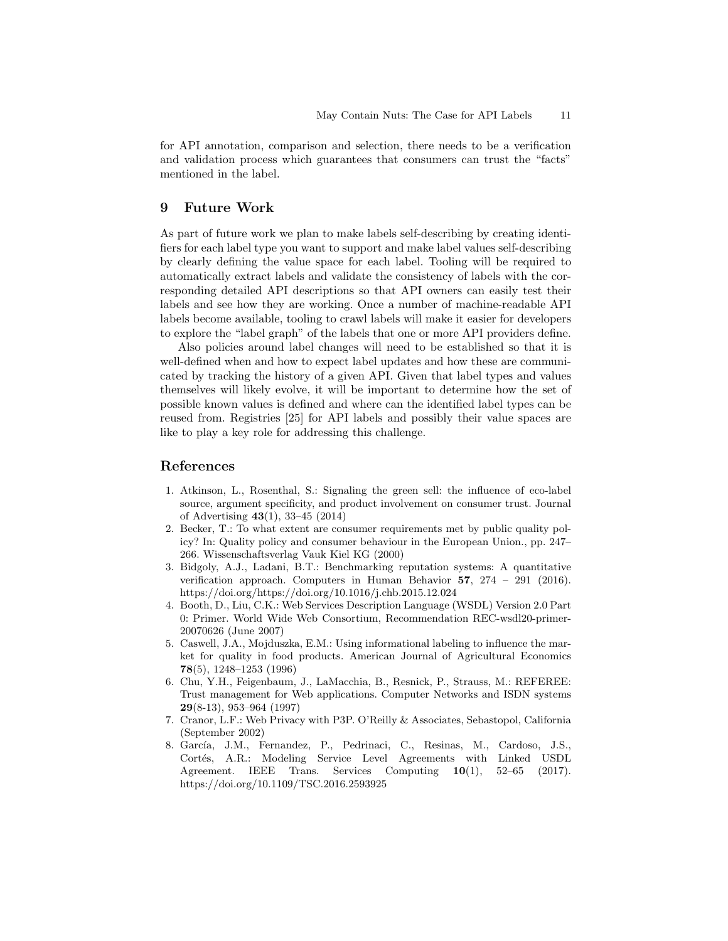for API annotation, comparison and selection, there needs to be a verification and validation process which guarantees that consumers can trust the "facts" mentioned in the label.

## 9 Future Work

As part of future work we plan to make labels self-describing by creating identifiers for each label type you want to support and make label values self-describing by clearly defining the value space for each label. Tooling will be required to automatically extract labels and validate the consistency of labels with the corresponding detailed API descriptions so that API owners can easily test their labels and see how they are working. Once a number of machine-readable API labels become available, tooling to crawl labels will make it easier for developers to explore the "label graph" of the labels that one or more API providers define.

Also policies around label changes will need to be established so that it is well-defined when and how to expect label updates and how these are communicated by tracking the history of a given API. Given that label types and values themselves will likely evolve, it will be important to determine how the set of possible known values is defined and where can the identified label types can be reused from. Registries [25] for API labels and possibly their value spaces are like to play a key role for addressing this challenge.

## References

- 1. Atkinson, L., Rosenthal, S.: Signaling the green sell: the influence of eco-label source, argument specificity, and product involvement on consumer trust. Journal of Advertising 43(1), 33–45 (2014)
- 2. Becker, T.: To what extent are consumer requirements met by public quality policy? In: Quality policy and consumer behaviour in the European Union., pp. 247– 266. Wissenschaftsverlag Vauk Kiel KG (2000)
- 3. Bidgoly, A.J., Ladani, B.T.: Benchmarking reputation systems: A quantitative verification approach. Computers in Human Behavior 57, 274 – 291 (2016). https://doi.org/https://doi.org/10.1016/j.chb.2015.12.024
- 4. Booth, D., Liu, C.K.: Web Services Description Language (WSDL) Version 2.0 Part 0: Primer. World Wide Web Consortium, Recommendation REC-wsdl20-primer-20070626 (June 2007)
- 5. Caswell, J.A., Mojduszka, E.M.: Using informational labeling to influence the market for quality in food products. American Journal of Agricultural Economics 78(5), 1248–1253 (1996)
- 6. Chu, Y.H., Feigenbaum, J., LaMacchia, B., Resnick, P., Strauss, M.: REFEREE: Trust management for Web applications. Computer Networks and ISDN systems 29(8-13), 953–964 (1997)
- 7. Cranor, L.F.: Web Privacy with P3P. O'Reilly & Associates, Sebastopol, California (September 2002)
- 8. García, J.M., Fernandez, P., Pedrinaci, C., Resinas, M., Cardoso, J.S., Cortés, A.R.: Modeling Service Level Agreements with Linked USDL Agreement. IEEE Trans. Services Computing 10(1), 52–65 (2017). https://doi.org/10.1109/TSC.2016.2593925